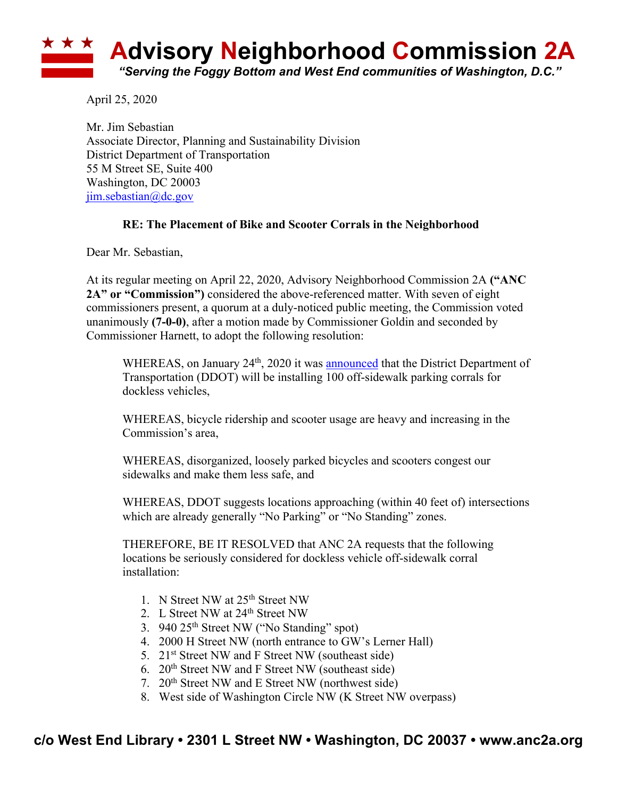## **Advisory Neighborhood Commission 2A** *"Serving the Foggy Bottom and West End communities of Washington, D.C."*

April 25, 2020

Mr. Jim Sebastian Associate Director, Planning and Sustainability Division District Department of Transportation 55 M Street SE, Suite 400 Washington, DC 20003 jim.sebastian@dc.gov

## **RE: The Placement of Bike and Scooter Corrals in the Neighborhood**

Dear Mr. Sebastian,

At its regular meeting on April 22, 2020, Advisory Neighborhood Commission 2A **("ANC 2A" or "Commission")** considered the above-referenced matter. With seven of eight commissioners present, a quorum at a duly-noticed public meeting, the Commission voted unanimously **(7-0-0)**, after a motion made by Commissioner Goldin and seconded by Commissioner Harnett, to adopt the following resolution:

WHEREAS, on January  $24<sup>th</sup>$ , 2020 it was announced that the District Department of Transportation (DDOT) will be installing 100 off-sidewalk parking corrals for dockless vehicles,

WHEREAS, bicycle ridership and scooter usage are heavy and increasing in the Commission's area,

WHEREAS, disorganized, loosely parked bicycles and scooters congest our sidewalks and make them less safe, and

WHEREAS, DDOT suggests locations approaching (within 40 feet of) intersections which are already generally "No Parking" or "No Standing" zones.

THEREFORE, BE IT RESOLVED that ANC 2A requests that the following locations be seriously considered for dockless vehicle off-sidewalk corral installation:

- 1. N Street NW at 25th Street NW
- 2. L Street NW at 24<sup>th</sup> Street NW
- 3. 940 25th Street NW ("No Standing" spot)
- 4. 2000 H Street NW (north entrance to GW's Lerner Hall)
- 5. 21<sup>st</sup> Street NW and F Street NW (southeast side)
- 6.  $20<sup>th</sup>$  Street NW and F Street NW (southeast side)
- 7. 20th Street NW and E Street NW (northwest side)
- 8. West side of Washington Circle NW (K Street NW overpass)